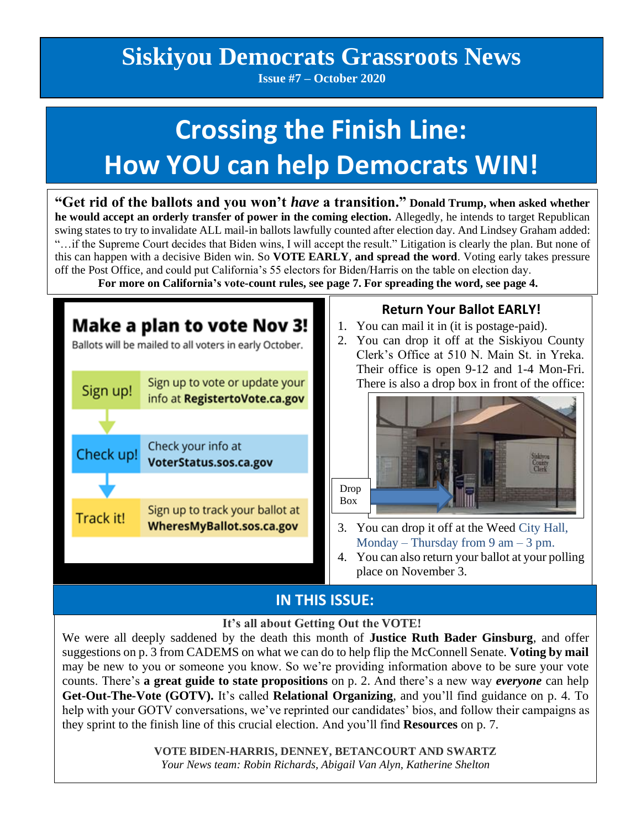## **Siskiyou Democrats Grassroots News**

**Issue #7 – October 2020**

# **Crossing the Finish Line: How YOU can help Democrats WIN!**

**"Get rid of the ballots and you won't** *have* **a transition." Donald Trump, when asked whether he would accept an orderly transfer of power in the coming election.** Allegedly, he intends to target Republican swing states to try to invalidate ALL mail-in ballots lawfully counted after election day. And Lindsey Graham added: "…if the Supreme Court decides that Biden wins, I will accept the result." Litigation is clearly the plan. But none of this can happen with a decisive Biden win. So **VOTE EARLY**, **and spread the word**. Voting early takes pressure off the Post Office, and could put California's 55 electors for Biden/Harris on the table on election day.

 **For more on California's vote-count rules, see page 7. For spreading the word, see page 4.**



## **IN THIS ISSUE:**

 **It's all about Getting Out the VOTE!**

We were all deeply saddened by the death this month of **Justice Ruth Bader Ginsburg**, and offer suggestions on p. 3 from CADEMS on what we can do to help flip the McConnell Senate. **Voting by mail** may be new to you or someone you know. So we're providing information above to be sure your vote counts. There's **a great guide to state propositions** on p. 2. And there's a new way *everyone* can help **Get-Out-The-Vote (GOTV).** It's called **Relational Organizing**, and you'll find guidance on p. 4. To help with your GOTV conversations, we've reprinted our candidates' bios, and follow their campaigns as they sprint to the finish line of this crucial election. And you'll find **Resources** on p. 7.

> **VOTE BIDEN-HARRIS, DENNEY, BETANCOURT AND SWARTZ** *Your News team: Robin Richards, Abigail Van Alyn, Katherine Shelton*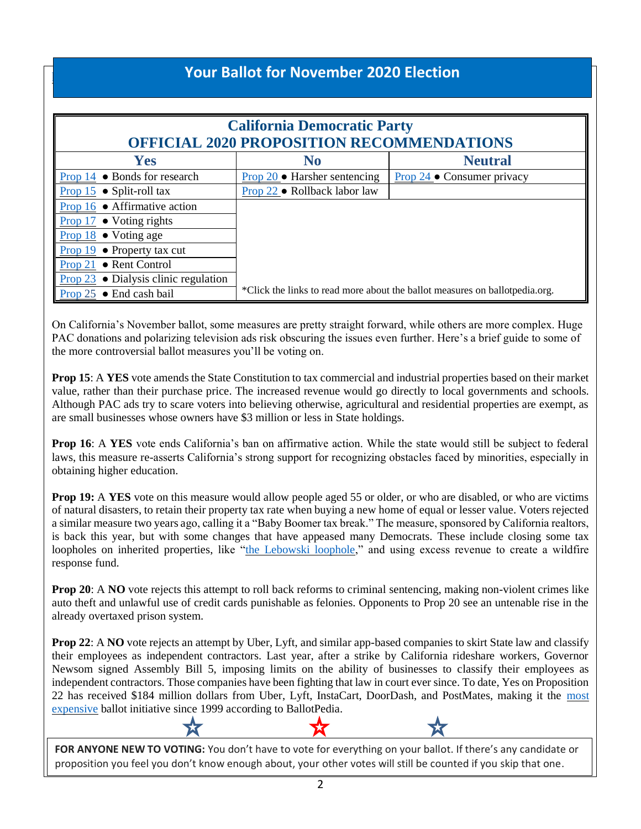## **Your Ballot for November 2020 Election**

 $\mathbf{j}$  and  $\mathbf{k}$ 

| <b>California Democratic Party</b><br><b>OFFICIAL 2020 PROPOSITION RECOMMENDATIONS</b> |                                                                              |                                    |
|----------------------------------------------------------------------------------------|------------------------------------------------------------------------------|------------------------------------|
| <b>Yes</b>                                                                             | N <sub>0</sub>                                                               | <b>Neutral</b>                     |
| • Bonds for research<br>Prop 14                                                        | Prop $20 \bullet$ Harsher sentencing                                         | Prop $24 \bullet$ Consumer privacy |
| Prop $15 \bullet$ Split-roll tax                                                       | Prop 22 • Rollback labor law                                                 |                                    |
| Prop $16 \bullet$ Affirmative action                                                   |                                                                              |                                    |
| $\bullet$ Voting rights<br>Prop 17                                                     |                                                                              |                                    |
| Prop $18 \bullet$ Voting age                                                           |                                                                              |                                    |
| Prop $19 \bullet$ Property tax cut                                                     |                                                                              |                                    |
| • Rent Control<br>Prop $21$                                                            |                                                                              |                                    |
| <b>Prop 23</b> $\bullet$ Dialysis clinic regulation                                    |                                                                              |                                    |
| Prop $25 \bullet$ End cash bail                                                        | *Click the links to read more about the ballot measures on ballot pedia.org. |                                    |

On California's November ballot, some measures are pretty straight forward, while others are more complex. Huge PAC donations and polarizing television ads risk obscuring the issues even further. Here's a brief guide to some of the more controversial ballot measures you'll be voting on.

**Prop 15**: A **YES** vote amends the State Constitution to tax commercial and industrial properties based on their market value, rather than their purchase price. The increased revenue would go directly to local governments and schools. Although PAC ads try to scare voters into believing otherwise, agricultural and residential properties are exempt, as are small businesses whose owners have \$3 million or less in State holdings.

**Prop 16**: A **YES** vote ends California's ban on affirmative action. While the state would still be subject to federal laws, this measure re-asserts California's strong support for recognizing obstacles faced by minorities, especially in obtaining higher education.

**Prop 19:** A YES vote on this measure would allow people aged 55 or older, or who are disabled, or who are victims of natural disasters, to retain their property tax rate when buying a new home of equal or lesser value. Voters rejected a similar measure two years ago, calling it a "Baby Boomer tax break." The measure, sponsored by California realtors, is back this year, but with some changes that have appeased many Democrats. These include closing some tax loopholes on inherited properties, like ["the Lebowski loophole,](https://calmatters.org/economy/2018/08/prop-13-jeff-bridges-property-taxes-inheritance-estate-california/)" and using excess revenue to create a wildfire response fund.

**Prop 20:** A **NO** vote rejects this attempt to roll back reforms to criminal sentencing, making non-violent crimes like auto theft and unlawful use of credit cards punishable as felonies. Opponents to Prop 20 see an untenable rise in the already overtaxed prison system.

**Prop 22:** A **NO** vote rejects an attempt by Uber, Lyft, and similar app-based companies to skirt State law and classify their employees as independent contractors. Last year, after a strike by California rideshare workers, Governor Newsom signed Assembly Bill 5, imposing limits on the ability of businesses to classify their employees as independent contractors. Those companies have been fighting that law in court ever since. To date, Yes on Proposition 22 has received \$184 million dollars from Uber, Lyft, InstaCart, DoorDash, and PostMates, making it the most [expensive](https://ballotpedia.org/What_were_the_most_expensive_ballot_measures_in_California) ballot initiative since 1999 according to BallotPedia.

**FOR ANYONE NEW TO VOTING:** You don't have to vote for everything on your ballot. If there's any candidate or proposition you feel you don't know enough about, your other votes will still be counted if you skip that one.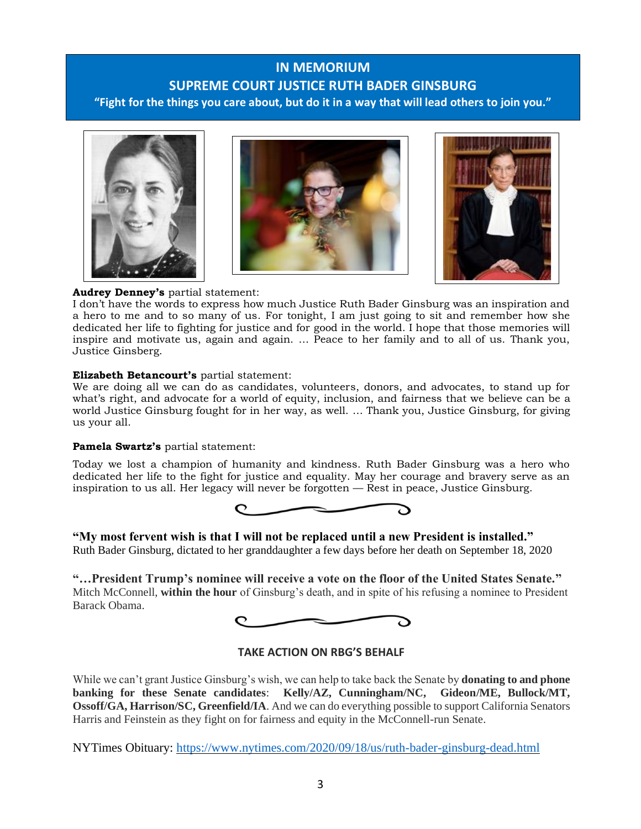## **IN MEMORIUM SUPREME COURT JUSTICE RUTH BADER GINSBURG "Fight for the things you care about, but do it in a way that will lead others to join you."**







#### **Audrey Denney's** partial statement:

I don't have the words to express how much Justice Ruth Bader Ginsburg was an inspiration and a hero to me and to so many of us. For tonight, I am just going to sit and remember how she dedicated her life to fighting for justice and for good in the world. I hope that those memories will inspire and motivate us, again and again. … Peace to her family and to all of us. Thank you, Justice Ginsberg.

#### **Elizabeth Betancourt's** partial statement:

We are doing all we can do as candidates, volunteers, donors, and advocates, to stand up for what's right, and advocate for a world of equity, inclusion, and fairness that we believe can be a world Justice Ginsburg fought for in her way, as well. … Thank you, Justice Ginsburg, for giving us your all.

#### **Pamela Swartz's** partial statement:

Today we lost a champion of humanity and kindness. Ruth Bader Ginsburg was a hero who dedicated her life to the fight for justice and equality. May her courage and bravery serve as an inspiration to us all. Her legacy will never be forgotten — Rest in peace, Justice Ginsburg.



#### **"My most fervent wish is that I will not be replaced until a new President is installed."** Ruth Bader Ginsburg, dictated to her granddaughter a few days before her death on September 18, 2020

**"…President Trump's nominee will receive a vote on the floor of the United States Senate."** Mitch McConnell, **within the hour** of Ginsburg's death, and in spite of his refusing a nominee to President Barack Obama.



#### **TAKE ACTION ON RBG'S BEHALF**

While we can't grant Justice Ginsburg's wish, we can help to take back the Senate by **donating to and phone banking for these Senate candidates**: **Kelly/AZ, Cunningham/NC, Gideon/ME, Bullock/MT, Ossoff/GA, Harrison/SC, Greenfield/IA**. And we can do everything possible to support California Senators Harris and Feinstein as they fight on for fairness and equity in the McConnell-run Senate.

NYTimes Obituary:<https://www.nytimes.com/2020/09/18/us/ruth-bader-ginsburg-dead.html>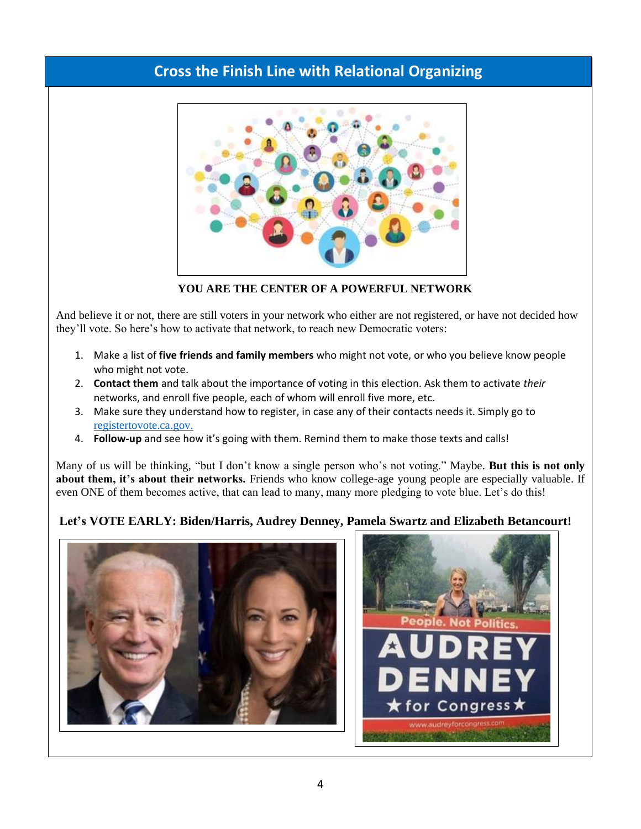## **Cross the Finish Line with Relational Organizing**



**YOU ARE THE CENTER OF A POWERFUL NETWORK**

And believe it or not, there are still voters in your network who either are not registered, or have not decided how they'll vote. So here's how to activate that network, to reach new Democratic voters:

- 1. Make a list of **five friends and family members** who might not vote, or who you believe know people who might not vote.
- 2. **Contact them** and talk about the importance of voting in this election. Ask them to activate *their* networks, and enroll five people, each of whom will enroll five more, etc.
- 3. Make sure they understand how to register, in case any of their contacts needs it. Simply go to [registertovote.ca.gov.](http://registertovote.ca.gov/)
- 4. **Follow-up** and see how it's going with them. Remind them to make those texts and calls!

Many of us will be thinking, "but I don't know a single person who's not voting." Maybe. **But this is not only about them, it's about their networks.** Friends who know college-age young people are especially valuable. If even ONE of them becomes active, that can lead to many, many more pledging to vote blue. Let's do this!

### **Let's VOTE EARLY: Biden/Harris, Audrey Denney, Pamela Swartz and Elizabeth Betancourt!**



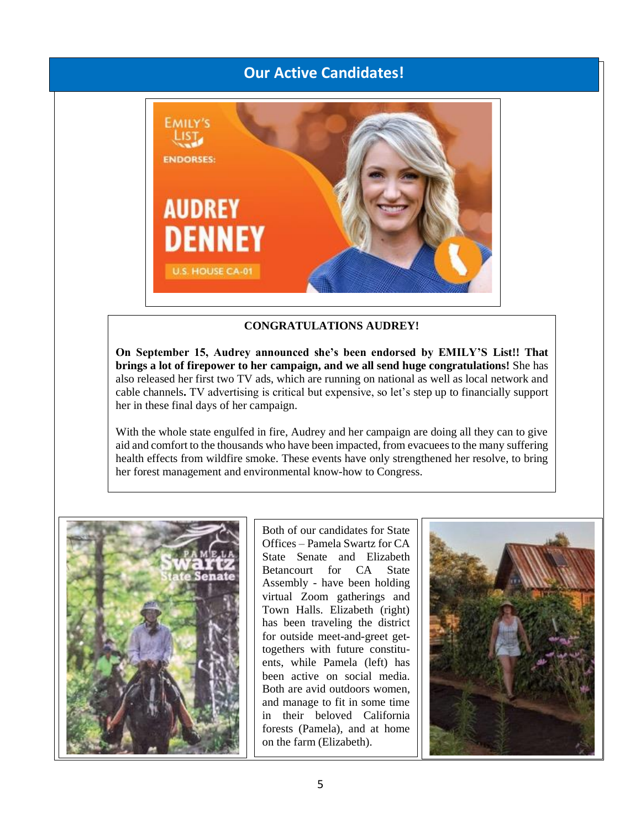## **Our Active Candidates!**



#### **CONGRATULATIONS AUDREY!**

**On September 15, Audrey announced she's been endorsed by EMILY'S List!! That brings a lot of firepower to her campaign, and we all send huge congratulations!** She has also released her first two TV ads, which are running on national as well as local network and cable channels**.** TV advertising is critical but expensive, so let's step up to financially support her in these final days of her campaign.

With the whole state engulfed in fire, Audrey and her campaign are doing all they can to give aid and comfort to the thousands who have been impacted, from evacuees to the many suffering health effects from wildfire smoke. These events have only strengthened her resolve, to bring her forest management and environmental know-how to Congress.



Both of our candidates for State Offices – Pamela Swartz for CA State Senate and Elizabeth Betancourt for CA State Assembly - have been holding virtual Zoom gatherings and Town Halls. Elizabeth (right) has been traveling the district for outside meet-and-greet gettogethers with future constituents, while Pamela (left) has been active on social media. Both are avid outdoors women, and manage to fit in some time in their beloved California forests (Pamela), and at home on the farm (Elizabeth).

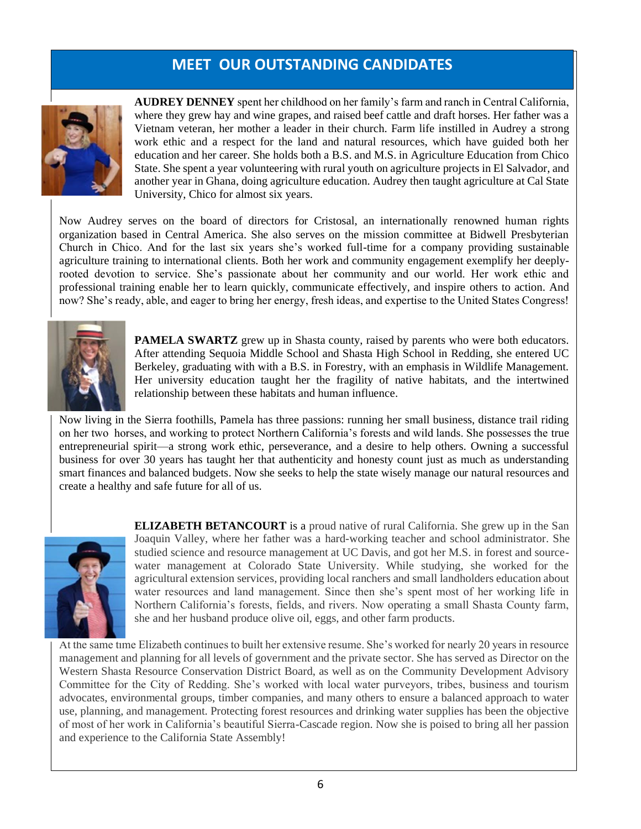## **MEET OUR OUTSTANDING CANDIDATES**



**AUDREY DENNEY** spent her childhood on her family's farm and ranch in Central California, where they grew hay and wine grapes, and raised beef cattle and draft horses. Her father was a Vietnam veteran, her mother a leader in their church. Farm life instilled in Audrey a strong work ethic and a respect for the land and natural resources, which have guided both her education and her career. She holds both a B.S. and M.S. in Agriculture Education from Chico State. She spent a year volunteering with rural youth on agriculture projects in El Salvador, and another year in Ghana, doing agriculture education. Audrey then taught agriculture at Cal State University, Chico for almost six years.

Now Audrey serves on the board of directors for Cristosal, an internationally renowned human rights organization based in Central America. She also serves on the mission committee at Bidwell Presbyterian Church in Chico. And for the last six years she's worked full-time for a company providing sustainable agriculture training to international clients. Both her work and community engagement exemplify her deeplyrooted devotion to service. She's passionate about her community and our world. Her work ethic and professional training enable her to learn quickly, communicate effectively, and inspire others to action. And now? She's ready, able, and eager to bring her energy, fresh ideas, and expertise to the United States Congress!



**PAMELA SWARTZ** grew up in Shasta county, raised by parents who were both educators. After attending Sequoia Middle School and Shasta High School in Redding, she entered UC Berkeley, graduating with with a B.S. in Forestry, with an emphasis in Wildlife Management. Her university education taught her the fragility of native habitats, and the intertwined relationship between these habitats and human influence.

Now living in the Sierra foothills, Pamela has three passions: running her small business, distance trail riding on her two horses, and working to protect Northern California's forests and wild lands. She possesses the true entrepreneurial spirit—a strong work ethic, perseverance, and a desire to help others. Owning a successful business for over 30 years has taught her that authenticity and honesty count just as much as understanding smart finances and balanced budgets. Now she seeks to help the state wisely manage our natural resources and create a healthy and safe future for all of us.



**ELIZABETH BETANCOURT** is a proud native of rural California. She grew up in the San Joaquin Valley, where her father was a hard-working teacher and school administrator. She studied science and resource management at UC Davis, and got her M.S. in forest and sourcewater management at Colorado State University. While studying, she worked for the agricultural extension services, providing local ranchers and small landholders education about water resources and land management. Since then she's spent most of her working life in Northern California's forests, fields, and rivers. Now operating a small Shasta County farm, she and her husband produce olive oil, eggs, and other farm products.

At the same time Elizabeth continues to built her extensive resume. She's worked for nearly 20 years in resource management and planning for all levels of government and the private sector. She has served as Director on the Western Shasta Resource Conservation District Board, as well as on the Community Development Advisory Committee for the City of Redding. She's worked with local water purveyors, tribes, business and tourism advocates, environmental groups, timber companies, and many others to ensure a balanced approach to water use, planning, and management. Protecting forest resources and drinking water supplies has been the objective of most of her work in California's beautiful Sierra-Cascade region. Now she is poised to bring all her passion and experience to the California State Assembly!